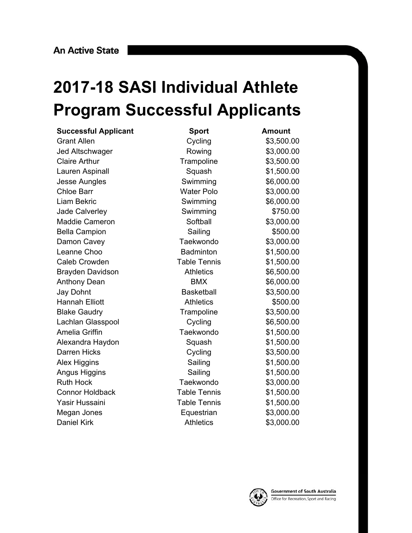## **2017-18 SASI Individual Athlete Program Successful Applicants**

| <b>Successful Applicant</b> | <b>Sport</b>        | <b>Amount</b> |
|-----------------------------|---------------------|---------------|
| <b>Grant Allen</b>          | Cycling             | \$3,500.00    |
| Jed Altschwager             | Rowing              | \$3,000.00    |
| <b>Claire Arthur</b>        | Trampoline          | \$3,500.00    |
| Lauren Aspinall             | Squash              | \$1,500.00    |
| <b>Jesse Aungles</b>        | Swimming            | \$6,000.00    |
| <b>Chloe Barr</b>           | <b>Water Polo</b>   | \$3,000.00    |
| Liam Bekric                 | Swimming            | \$6,000.00    |
| <b>Jade Calverley</b>       | Swimming            | \$750.00      |
| <b>Maddie Cameron</b>       | Softball            | \$3,000.00    |
| <b>Bella Campion</b>        | Sailing             | \$500.00      |
| Damon Cavey                 | Taekwondo           | \$3,000.00    |
| Leanne Choo                 | <b>Badminton</b>    | \$1,500.00    |
| <b>Caleb Crowden</b>        | <b>Table Tennis</b> | \$1,500.00    |
| <b>Brayden Davidson</b>     | <b>Athletics</b>    | \$6,500.00    |
| <b>Anthony Dean</b>         | <b>BMX</b>          | \$6,000.00    |
| <b>Jay Dohnt</b>            | <b>Basketball</b>   | \$3,500.00    |
| <b>Hannah Elliott</b>       | <b>Athletics</b>    | \$500.00      |
| <b>Blake Gaudry</b>         | Trampoline          | \$3,500.00    |
| Lachlan Glasspool           | Cycling             | \$6,500.00    |
| <b>Amelia Griffin</b>       | Taekwondo           | \$1,500.00    |
| Alexandra Haydon            | Squash              | \$1,500.00    |
| <b>Darren Hicks</b>         | Cycling             | \$3,500.00    |
| <b>Alex Higgins</b>         | Sailing             | \$1,500.00    |
| Angus Higgins               | Sailing             | \$1,500.00    |
| <b>Ruth Hock</b>            | Taekwondo           | \$3,000.00    |
| <b>Connor Holdback</b>      | <b>Table Tennis</b> | \$1,500.00    |
| Yasir Hussaini              | <b>Table Tennis</b> | \$1,500.00    |
| Megan Jones                 | Equestrian          | \$3,000.00    |
| <b>Daniel Kirk</b>          | <b>Athletics</b>    | \$3,000.00    |